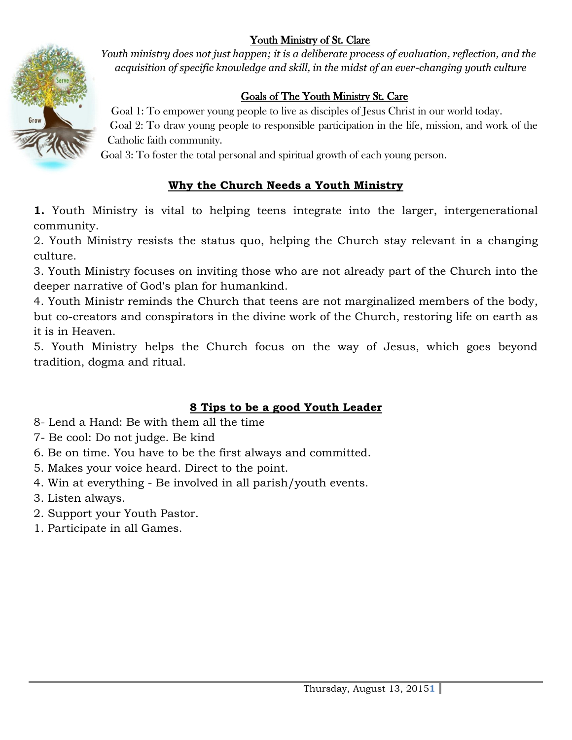#### Youth Ministry of St. Clare



*Youth ministry does not just happen; it is a deliberate process of evaluation, reflection, and the acquisition of specific knowledge and skill, in the midst of an ever-changing youth culture*

#### Goals of The Youth Ministry St. Care

Goal 1: To empower young people to live as disciples of Jesus Christ in our world today. Goal 2: To draw young people to responsible participation in the life, mission, and work of the Catholic faith community.

Goal 3: To foster the total personal and spiritual growth of each young person.

#### **Why the Church Needs a Youth Ministry**

**1.** Youth Ministry is vital to helping teens integrate into the larger, intergenerational community.

2. Youth Ministry resists the status quo, helping the Church stay relevant in a changing culture.

3. Youth Ministry focuses on inviting those who are not already part of the Church into the deeper narrative of God's plan for humankind.

4. Youth Ministr reminds the Church that teens are not marginalized members of the body, but co-creators and conspirators in the divine work of the Church, restoring life on earth as it is in Heaven.

5. Youth Ministry helps the Church focus on the way of Jesus, which goes beyond tradition, dogma and ritual.

#### **8 Tips to be a good Youth Leader**

- 8- Lend a Hand: Be with them all the time
- 7- Be cool: Do not judge. Be kind
- 6. Be on time. You have to be the first always and committed.
- 5. Makes your voice heard. Direct to the point.
- 4. Win at everything Be involved in all parish/youth events.
- 3. Listen always.
- 2. Support your Youth Pastor.
- 1. Participate in all Games.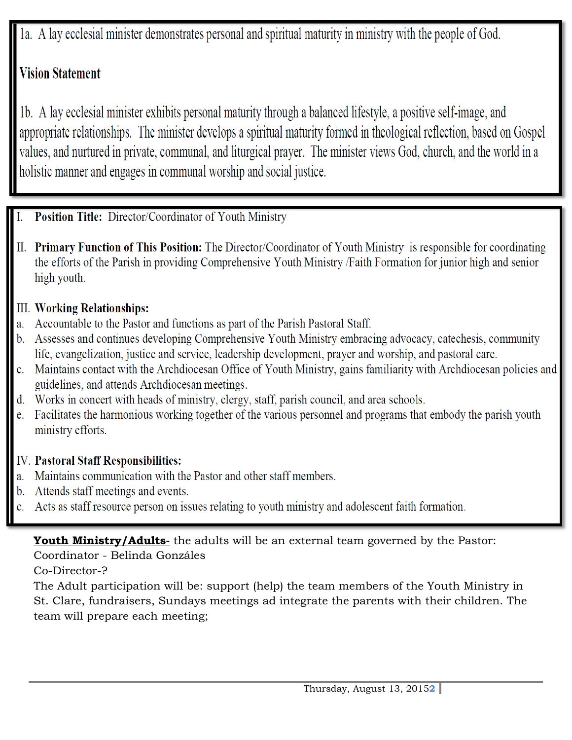1a. A lay ecclesial minister demonstrates personal and spiritual maturity in ministry with the people of God.

## **Vision Statement**

1b. A lay ecclesial minister exhibits personal maturity through a balanced lifestyle, a positive self-image, and appropriate relationships. The minister develops a spiritual maturity formed in theological reflection, based on Gospel values, and nurtured in private, communal, and liturgical prayer. The minister views God, church, and the world in a holistic manner and engages in communal worship and social justice.

- **Position Title: Director/Coordinator of Youth Ministry** I.
- II. Primary Function of This Position: The Director/Coordinator of Youth Ministry is responsible for coordinating the efforts of the Parish in providing Comprehensive Youth Ministry /Faith Formation for junior high and senior high youth.

#### **III. Working Relationships:**

- a. Accountable to the Pastor and functions as part of the Parish Pastoral Staff.
- b. Assesses and continues developing Comprehensive Youth Ministry embracing advocacy, catechesis, community life, evangelization, justice and service, leadership development, prayer and worship, and pastoral care.
- c. Maintains contact with the Archdiocesan Office of Youth Ministry, gains familiarity with Archdiocesan policies and guidelines, and attends Archdiocesan meetings.
- d. Works in concert with heads of ministry, clergy, staff, parish council, and area schools.
- e. Facilitates the harmonious working together of the various personnel and programs that embody the parish youth ministry efforts.

#### **IV. Pastoral Staff Responsibilities:**

- a. Maintains communication with the Pastor and other staff members.
- b. Attends staff meetings and events.
- Acts as staff resource person on issues relating to youth ministry and adolescent faith formation. c.

#### **Youth Ministry/Adults-** the adults will be an external team governed by the Pastor:

Coordinator - Belinda Gonzáles

Co-Director-?

The Adult participation will be: support (help) the team members of the Youth Ministry in St. Clare, fundraisers, Sundays meetings ad integrate the parents with their children. The team will prepare each meeting;